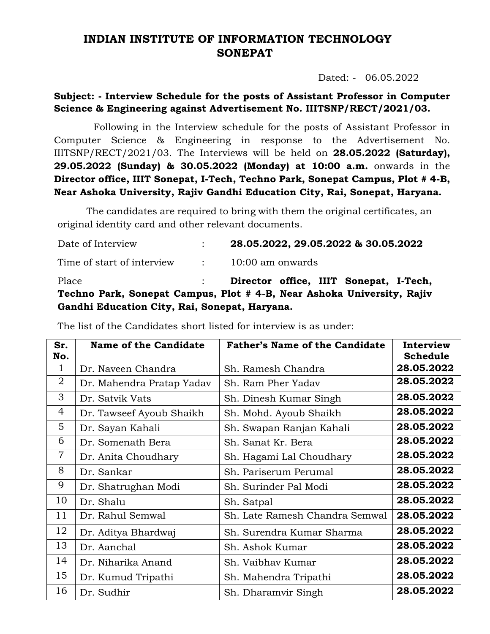## **INDIAN INSTITUTE OF INFORMATION TECHNOLOGY SONEPAT**

Dated: - 06.05.2022

## **Subject: - Interview Schedule for the posts of Assistant Professor in Computer Science & Engineering against Advertisement No. IIITSNP/RECT/2021/03.**

Following in the Interview schedule for the posts of Assistant Professor in Computer Science & Engineering in response to the Advertisement No. IIITSNP/RECT/2021/03. The Interviews will be held on **28.05.2022 (Saturday), 29.05.2022 (Sunday) & 30.05.2022 (Monday) at 10:00 a.m.** onwards in the **Director office, IIIT Sonepat, I-Tech, Techno Park, Sonepat Campus, Plot # 4-B, Near Ashoka University, Rajiv Gandhi Education City, Rai, Sonepat, Haryana.**

The candidates are required to bring with them the original certificates, an original identity card and other relevant documents.

| Date of Interview                                                      |  | 28.05.2022, 29.05.2022 & 30.05.2022    |  |  |  |  |
|------------------------------------------------------------------------|--|----------------------------------------|--|--|--|--|
| Time of start of interview                                             |  | $\therefore$ 10:00 am onwards          |  |  |  |  |
| Place                                                                  |  | Director office, IIIT Sonepat, I-Tech, |  |  |  |  |
| Techno Park, Sonepat Campus, Plot # 4-B, Near Ashoka University, Rajiv |  |                                        |  |  |  |  |
| Gandhi Education City, Rai, Sonepat, Haryana.                          |  |                                        |  |  |  |  |

The list of the Candidates short listed for interview is as under:

| Sr.<br>No.     | Name of the Candidate     | <b>Father's Name of the Candidate</b> | Interview<br>Schedule |
|----------------|---------------------------|---------------------------------------|-----------------------|
| $\mathbf{1}$   | Dr. Naveen Chandra        | Sh. Ramesh Chandra                    | 28.05.2022            |
| $\overline{2}$ | Dr. Mahendra Pratap Yadav | Sh. Ram Pher Yadav                    | 28.05.2022            |
| 3              | Dr. Satvik Vats           | Sh. Dinesh Kumar Singh                | 28.05.2022            |
| $\overline{4}$ | Dr. Tawseef Ayoub Shaikh  | Sh. Mohd. Ayoub Shaikh                | 28.05.2022            |
| 5              | Dr. Sayan Kahali          | Sh. Swapan Ranjan Kahali              | 28.05.2022            |
| 6              | Dr. Somenath Bera         | Sh. Sanat Kr. Bera                    | 28.05.2022            |
| $\overline{7}$ | Dr. Anita Choudhary       | Sh. Hagami Lal Choudhary              | 28.05.2022            |
| 8              | Dr. Sankar                | Sh. Pariserum Perumal                 | 28.05.2022            |
| 9              | Dr. Shatrughan Modi       | Sh. Surinder Pal Modi                 | 28.05.2022            |
| 10             | Dr. Shalu                 | Sh. Satpal                            | 28.05.2022            |
| 11             | Dr. Rahul Semwal          | Sh. Late Ramesh Chandra Semwal        | 28.05.2022            |
| 12             | Dr. Aditya Bhardwaj       | Sh. Surendra Kumar Sharma             | 28.05.2022            |
| 13             | Dr. Aanchal               | Sh. Ashok Kumar                       | 28.05.2022            |
| 14             | Dr. Niharika Anand        | Sh. Vaibhav Kumar                     | 28.05.2022            |
| 15             | Dr. Kumud Tripathi        | Sh. Mahendra Tripathi                 | 28.05.2022            |
| 16             | Dr. Sudhir                | Sh. Dharamvir Singh                   | 28.05.2022            |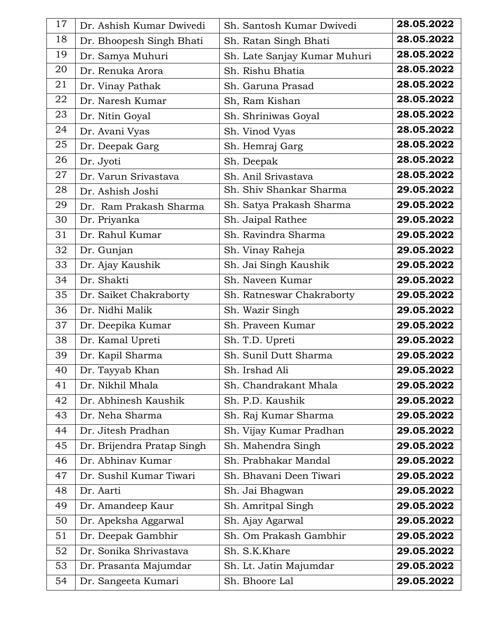| 17 | Dr. Ashish Kumar Dwivedi   | Sh. Santosh Kumar Dwivedi    | 28.05.2022 |
|----|----------------------------|------------------------------|------------|
| 18 | Dr. Bhoopesh Singh Bhati   | Sh. Ratan Singh Bhati        | 28.05.2022 |
| 19 | Dr. Samya Muhuri           | Sh. Late Sanjay Kumar Muhuri | 28.05.2022 |
| 20 | Dr. Renuka Arora           | Sh. Rishu Bhatia             | 28.05.2022 |
| 21 | Dr. Vinay Pathak           | Sh. Garuna Prasad            | 28.05.2022 |
| 22 | Dr. Naresh Kumar           | Sh, Ram Kishan               | 28.05.2022 |
| 23 | Dr. Nitin Goyal            | Sh. Shriniwas Goyal          | 28.05.2022 |
| 24 | Dr. Avani Vyas             | Sh. Vinod Vyas               | 28.05.2022 |
| 25 | Dr. Deepak Garg            | Sh. Hemraj Garg              | 28.05.2022 |
| 26 | Dr. Jyoti                  | Sh. Deepak                   | 28.05.2022 |
| 27 | Dr. Varun Srivastava       | Sh. Anil Srivastava          | 28.05.2022 |
| 28 | Dr. Ashish Joshi           | Sh. Shiv Shankar Sharma      | 29.05.2022 |
| 29 | Dr. Ram Prakash Sharma     | Sh. Satya Prakash Sharma     | 29.05.2022 |
| 30 | Dr. Priyanka               | Sh. Jaipal Rathee            | 29.05.2022 |
| 31 | Dr. Rahul Kumar            | Sh. Ravindra Sharma          | 29.05.2022 |
| 32 | Dr. Gunjan                 | Sh. Vinay Raheja             | 29.05.2022 |
| 33 | Dr. Ajay Kaushik           | Sh. Jai Singh Kaushik        | 29.05.2022 |
| 34 | Dr. Shakti                 | Sh. Naveen Kumar             | 29.05.2022 |
| 35 | Dr. Saiket Chakraborty     | Sh. Ratneswar Chakraborty    | 29.05.2022 |
| 36 | Dr. Nidhi Malik            | Sh. Wazir Singh              | 29.05.2022 |
| 37 | Dr. Deepika Kumar          | Sh. Praveen Kumar            | 29.05.2022 |
| 38 | Dr. Kamal Upreti           | Sh. T.D. Upreti              | 29.05.2022 |
| 39 | Dr. Kapil Sharma           | Sh. Sunil Dutt Sharma        | 29.05.2022 |
| 40 | Dr. Tayyab Khan            | Sh. Irshad Ali               | 29.05.2022 |
| 41 | Dr. Nikhil Mhala           | Sh. Chandrakant Mhala        | 29.05.2022 |
| 42 | Dr. Abhinesh Kaushik       | Sh. P.D. Kaushik             | 29.05.2022 |
| 43 | Dr. Neha Sharma            | Sh. Raj Kumar Sharma         | 29.05.2022 |
| 44 | Dr. Jitesh Pradhan         | Sh. Vijay Kumar Pradhan      | 29.05.2022 |
| 45 | Dr. Brijendra Pratap Singh | Sh. Mahendra Singh           | 29.05.2022 |
| 46 | Dr. Abhinav Kumar          | Sh. Prabhakar Mandal         | 29.05.2022 |
| 47 | Dr. Sushil Kumar Tiwari    | Sh. Bhavani Deen Tiwari      | 29.05.2022 |
| 48 | Dr. Aarti                  | Sh. Jai Bhagwan              | 29.05.2022 |
| 49 | Dr. Amandeep Kaur          | Sh. Amritpal Singh           | 29.05.2022 |
| 50 | Dr. Apeksha Aggarwal       | Sh. Ajay Agarwal             | 29.05.2022 |
| 51 | Dr. Deepak Gambhir         | Sh. Om Prakash Gambhir       | 29.05.2022 |
| 52 | Dr. Sonika Shrivastava     | Sh. S.K.Khare                | 29.05.2022 |
| 53 | Dr. Prasanta Majumdar      | Sh. Lt. Jatin Majumdar       | 29.05.2022 |
| 54 | Dr. Sangeeta Kumari        | Sh. Bhoore Lal               | 29.05.2022 |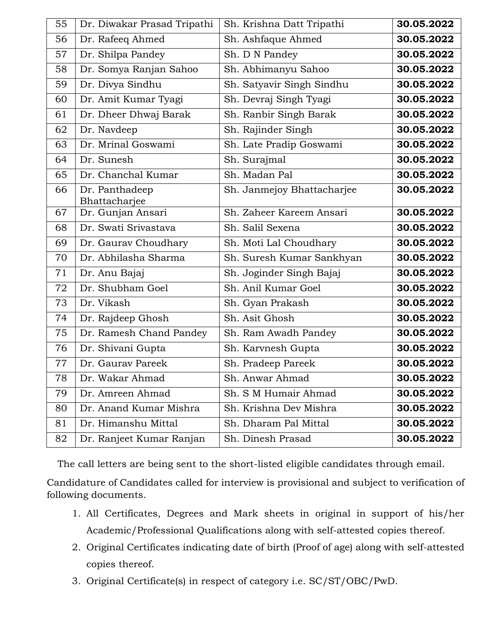| 55 | Dr. Diwakar Prasad Tripathi     | Sh. Krishna Datt Tripathi  | 30.05.2022 |
|----|---------------------------------|----------------------------|------------|
| 56 | Dr. Rafeeq Ahmed                | Sh. Ashfaque Ahmed         | 30.05.2022 |
| 57 | Dr. Shilpa Pandey               | Sh. D N Pandey             | 30.05.2022 |
| 58 | Dr. Somya Ranjan Sahoo          | Sh. Abhimanyu Sahoo        | 30.05.2022 |
| 59 | Dr. Divya Sindhu                | Sh. Satyavir Singh Sindhu  | 30.05.2022 |
| 60 | Dr. Amit Kumar Tyagi            | Sh. Devraj Singh Tyagi     | 30.05.2022 |
| 61 | Dr. Dheer Dhwaj Barak           | Sh. Ranbir Singh Barak     | 30.05.2022 |
| 62 | Dr. Navdeep                     | Sh. Rajinder Singh         | 30.05.2022 |
| 63 | Dr. Mrinal Goswami              | Sh. Late Pradip Goswami    | 30.05.2022 |
| 64 | Dr. Sunesh                      | Sh. Surajmal               | 30.05.2022 |
| 65 | Dr. Chanchal Kumar              | Sh. Madan Pal              | 30.05.2022 |
| 66 | Dr. Panthadeep<br>Bhattacharjee | Sh. Janmejoy Bhattacharjee | 30.05.2022 |
| 67 | Dr. Gunjan Ansari               | Sh. Zaheer Kareem Ansari   | 30.05.2022 |
| 68 | Dr. Swati Srivastava            | Sh. Salil Sexena           | 30.05.2022 |
| 69 | Dr. Gaurav Choudhary            | Sh. Moti Lal Choudhary     | 30.05.2022 |
| 70 | Dr. Abhilasha Sharma            | Sh. Suresh Kumar Sankhyan  | 30.05.2022 |
| 71 | Dr. Anu Bajaj                   | Sh. Joginder Singh Bajaj   | 30.05.2022 |
| 72 | Dr. Shubham Goel                | Sh. Anil Kumar Goel        | 30.05.2022 |
| 73 | Dr. Vikash                      | Sh. Gyan Prakash           | 30.05.2022 |
| 74 | Dr. Rajdeep Ghosh               | Sh. Asit Ghosh             | 30.05.2022 |
| 75 | Dr. Ramesh Chand Pandey         | Sh. Ram Awadh Pandey       | 30.05.2022 |
| 76 | Dr. Shivani Gupta               | Sh. Karvnesh Gupta         | 30.05.2022 |
| 77 | Dr. Gaurav Pareek               | Sh. Pradeep Pareek         | 30.05.2022 |
| 78 | Dr. Wakar Ahmad                 | Sh. Anwar Ahmad            | 30.05.2022 |
| 79 | Dr. Amreen Ahmad                | Sh. S M Humair Ahmad       | 30.05.2022 |
| 80 | Dr. Anand Kumar Mishra          | Sh. Krishna Dev Mishra     | 30.05.2022 |
| 81 | Dr. Himanshu Mittal             | Sh. Dharam Pal Mittal      | 30.05.2022 |
| 82 | Dr. Ranjeet Kumar Ranjan        | Sh. Dinesh Prasad          | 30.05.2022 |

The call letters are being sent to the short-listed eligible candidates through email.

Candidature of Candidates called for interview is provisional and subject to verification of following documents.

- 1. All Certificates, Degrees and Mark sheets in original in support of his/her Academic/Professional Qualifications along with self-attested copies thereof.
- 2. Original Certificates indicating date of birth (Proof of age) along with self-attested copies thereof.
- 3. Original Certificate(s) in respect of category i.e. SC/ST/OBC/PwD.